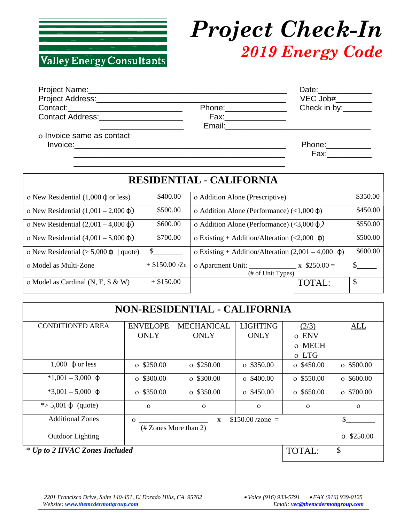

## *Project Check-In 2019 Energy Code*

|                                           |                       | Date:______________                                                                                           |
|-------------------------------------------|-----------------------|---------------------------------------------------------------------------------------------------------------|
|                                           |                       | $VEC$ Job# $\frac{1}{2}$                                                                                      |
| Contact:_________________________________ | Phone:_______________ | Check in by:_______                                                                                           |
| Contact Address: <b>Example 2018</b>      | Fax:_______________   |                                                                                                               |
|                                           |                       |                                                                                                               |
| o Invoice same as contact                 |                       |                                                                                                               |
|                                           |                       | Phone: ___________                                                                                            |
|                                           |                       | Fax: Exercise Service Service Service Service Service Service Service Service Service Service Service Service |

 $\overline{\phantom{a}}$  ,  $\overline{\phantom{a}}$  ,  $\overline{\phantom{a}}$  ,  $\overline{\phantom{a}}$  ,  $\overline{\phantom{a}}$  ,  $\overline{\phantom{a}}$  ,  $\overline{\phantom{a}}$  ,  $\overline{\phantom{a}}$  ,  $\overline{\phantom{a}}$  ,  $\overline{\phantom{a}}$  ,  $\overline{\phantom{a}}$  ,  $\overline{\phantom{a}}$  ,  $\overline{\phantom{a}}$  ,  $\overline{\phantom{a}}$  ,  $\overline{\phantom{a}}$  ,  $\overline{\phantom{a}}$ 

| <b>RESIDENTIAL - CALIFORNIA</b>                   |                  |                                                                 |          |  |
|---------------------------------------------------|------------------|-----------------------------------------------------------------|----------|--|
| o New Residential $(1,000 \phi)$ or less)         | \$400.00         | o Addition Alone (Prescriptive)                                 | \$350.00 |  |
| o New Residential $(1,001 - 2,000 \phi)$          | \$500.00         | o Addition Alone (Performance) $\left($ <1,000 $\phi$ )         | \$450.00 |  |
| o New Residential $(2,001 - 4,000 \text{ }\phi)$  | \$600.00         | o Addition Alone (Performance) (<3,000 $\phi$ )                 | \$550.00 |  |
| o New Residential $(4,001 - 5,000 \text{ }\phi)$  | \$700.00         | o Existing + Addition/Alteration $\langle 2,000 \phi \rangle$   | \$500.00 |  |
| o New Residential ( $> 5,000 \, \phi$ )<br>quote) | $\mathbb{S}$     | o Existing + Addition/Alteration $(2,001 - 4,000 \text{ }\phi)$ | \$600.00 |  |
| o Model as Multi-Zone                             | $+$ \$150.00 /Zn | $\bar{x}$ \$250.00 =<br>(# of Unit Types)                       |          |  |
| o Model as Cardinal (N, E, S & W)                 | $+$ \$150.00     | <b>TOTAL:</b>                                                   | \$       |  |

| <b>NON-RESIDENTIAL - CALIFORNIA</b> |                                                                                      |                   |                   |                        |                     |
|-------------------------------------|--------------------------------------------------------------------------------------|-------------------|-------------------|------------------------|---------------------|
| <b>CONDITIONED AREA</b>             | <b>ENVELOPE</b>                                                                      | <b>MECHANICAL</b> | <b>LIGHTING</b>   | (2/3)                  | ALL                 |
|                                     | <b>ONLY</b>                                                                          | <b>ONLY</b>       | <b>ONLY</b>       | <b>ENV</b><br>$\Omega$ |                     |
|                                     |                                                                                      |                   |                   | o MECH                 |                     |
|                                     |                                                                                      |                   |                   | o LTG                  |                     |
| 1,000 $\phi$ or less                | $\sigma$ \$250.00                                                                    | $\sigma$ \$250.00 | $\sigma$ \$350.00 | $\sigma$ \$450.00      | $\sigma$ \$500.00   |
| $*1,001 - 3,000 \text{ } \phi$      | $\sigma$ \$300.00                                                                    | $\sigma$ \$300.00 | $\sigma$ \$400.00 | $\sigma$ \$550.00      | $\sigma$ \$600.00   |
| $*3,001 - 5,000 \text{ } \phi$      | $\sigma$ \$350.00                                                                    | $\sigma$ \$350.00 | $\sigma$ \$450.00 | $\sigma$ \$650.00      | $\sigma$ \$700.00   |
| * $> 5,001 \, \phi$ (quote)         | $\Omega$                                                                             | $\Omega$          | $\Omega$          | $\Omega$               | $\Omega$            |
| <b>Additional Zones</b>             | \$<br>$$150.00 / \text{zone} =$<br>$\mathbf{x}$<br>$\Omega$<br>(# Zones More than 2) |                   |                   |                        |                     |
| <b>Outdoor Lighting</b>             |                                                                                      |                   |                   |                        | \$250.00<br>$\circ$ |
| * Up to 2 HVAC Zones Included       |                                                                                      |                   |                   | <b>TOTAL:</b>          | $\mathcal{S}$       |